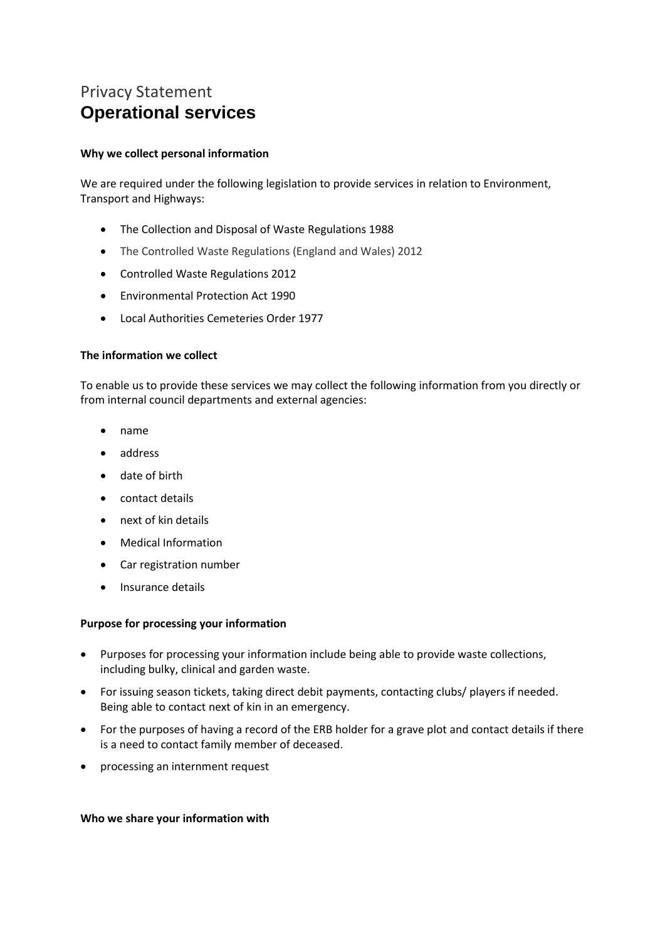# Privacy Statement **Operational services**

#### **Why we collect personal information**

We are required under the following legislation to provide services in relation to Environment, Transport and Highways:

- The Collection and Disposal of Waste Regulations 1988
- The Controlled Waste Regulations (England and Wales) 2012
- Controlled Waste Regulations 2012
- Environmental Protection Act 1990
- Local Authorities Cemeteries Order 1977

## **The information we collect**

To enable us to provide these services we may collect the following information from you directly or from internal council departments and external agencies:

- name
- address
- date of birth
- contact details
- next of kin details
- Medical Information
- Car registration number
- Insurance details

# **Purpose for processing your information**

- Purposes for processing your information include being able to provide waste collections, including bulky, clinical and garden waste.
- For issuing season tickets, taking direct debit payments, contacting clubs/ players if needed. Being able to contact next of kin in an emergency.
- For the purposes of having a record of the ERB holder for a grave plot and contact details if there is a need to contact family member of deceased.
- processing an internment request

#### **Who we share your information with**